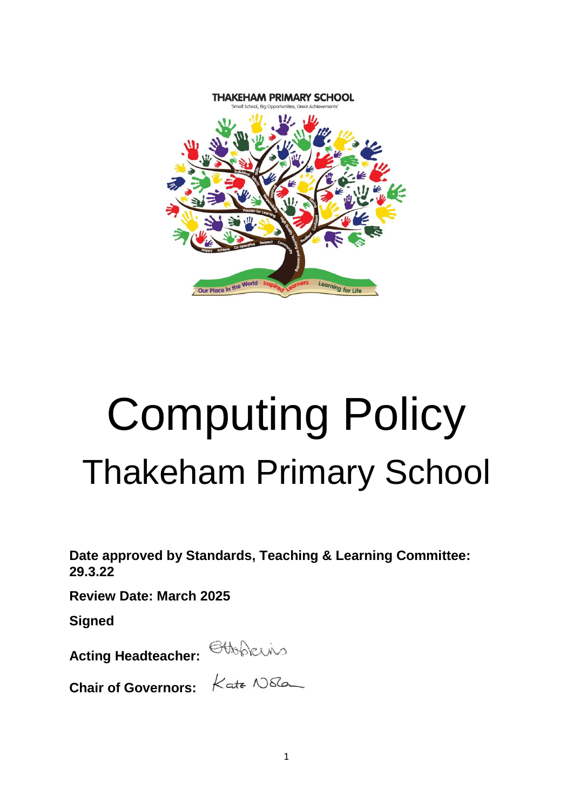

# Computing Policy Thakeham Primary School

**Date approved by Standards, Teaching & Learning Committee: 29.3.22**

**Review Date: March 2025**

**Signed**

**Acting Headteacher:** 

**Chair of Governors:**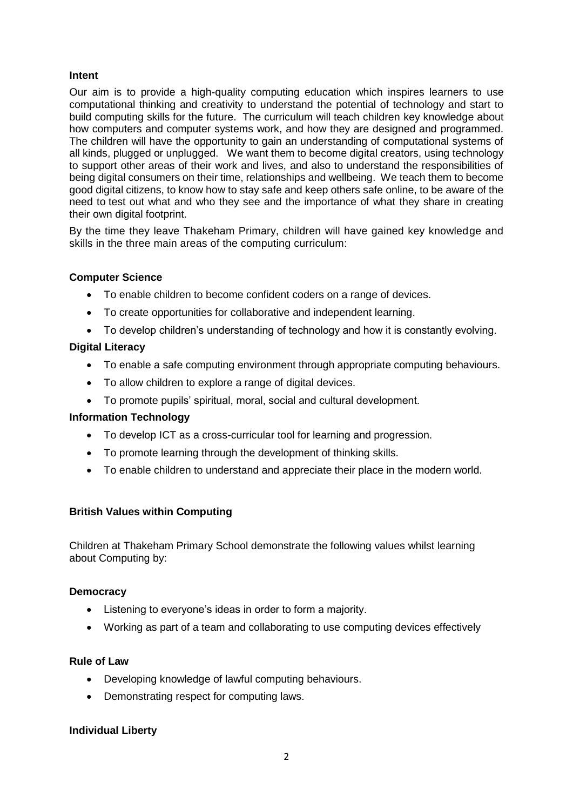# **Intent**

Our aim is to provide a high-quality computing education which inspires learners to use computational thinking and creativity to understand the potential of technology and start to build computing skills for the future. The curriculum will teach children key knowledge about how computers and computer systems work, and how they are designed and programmed. The children will have the opportunity to gain an understanding of computational systems of all kinds, plugged or unplugged. We want them to become digital creators, using technology to support other areas of their work and lives, and also to understand the responsibilities of being digital consumers on their time, relationships and wellbeing. We teach them to become good digital citizens, to know how to stay safe and keep others safe online, to be aware of the need to test out what and who they see and the importance of what they share in creating their own digital footprint.

By the time they leave Thakeham Primary, children will have gained key knowledge and skills in the three main areas of the computing curriculum:

# **Computer Science**

- To enable children to become confident coders on a range of devices.
- To create opportunities for collaborative and independent learning.
- To develop children's understanding of technology and how it is constantly evolving.

# **Digital Literacy**

- To enable a safe computing environment through appropriate computing behaviours.
- To allow children to explore a range of digital devices.
- To promote pupils' spiritual, moral, social and cultural development.

## **Information Technology**

- To develop ICT as a cross-curricular tool for learning and progression.
- To promote learning through the development of thinking skills.
- To enable children to understand and appreciate their place in the modern world.

## **British Values within Computing**

Children at Thakeham Primary School demonstrate the following values whilst learning about Computing by:

## **Democracy**

- Listening to everyone's ideas in order to form a majority.
- Working as part of a team and collaborating to use computing devices effectively

## **Rule of Law**

- Developing knowledge of lawful computing behaviours.
- Demonstrating respect for computing laws.

## **Individual Liberty**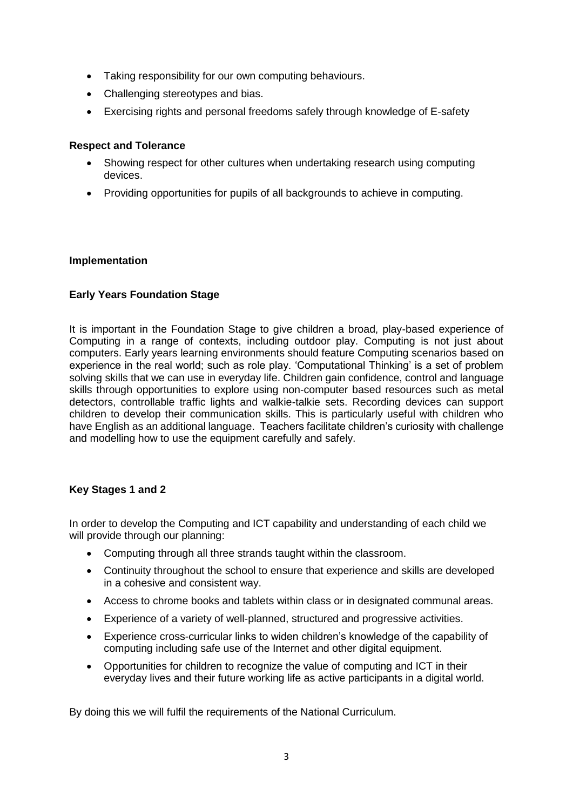- Taking responsibility for our own computing behaviours.
- Challenging stereotypes and bias.
- Exercising rights and personal freedoms safely through knowledge of E-safety

## **Respect and Tolerance**

- Showing respect for other cultures when undertaking research using computing devices.
- Providing opportunities for pupils of all backgrounds to achieve in computing.

## **Implementation**

# **Early Years Foundation Stage**

It is important in the Foundation Stage to give children a broad, play-based experience of Computing in a range of contexts, including outdoor play. Computing is not just about computers. Early years learning environments should feature Computing scenarios based on experience in the real world; such as role play. 'Computational Thinking' is a set of problem solving skills that we can use in everyday life. Children gain confidence, control and language skills through opportunities to explore using non-computer based resources such as metal detectors, controllable traffic lights and walkie-talkie sets. Recording devices can support children to develop their communication skills. This is particularly useful with children who have English as an additional language. Teachers facilitate children's curiosity with challenge and modelling how to use the equipment carefully and safely.

# **Key Stages 1 and 2**

In order to develop the Computing and ICT capability and understanding of each child we will provide through our planning:

- Computing through all three strands taught within the classroom.
- Continuity throughout the school to ensure that experience and skills are developed in a cohesive and consistent way.
- Access to chrome books and tablets within class or in designated communal areas.
- Experience of a variety of well-planned, structured and progressive activities.
- Experience cross-curricular links to widen children's knowledge of the capability of computing including safe use of the Internet and other digital equipment.
- Opportunities for children to recognize the value of computing and ICT in their everyday lives and their future working life as active participants in a digital world.

By doing this we will fulfil the requirements of the National Curriculum.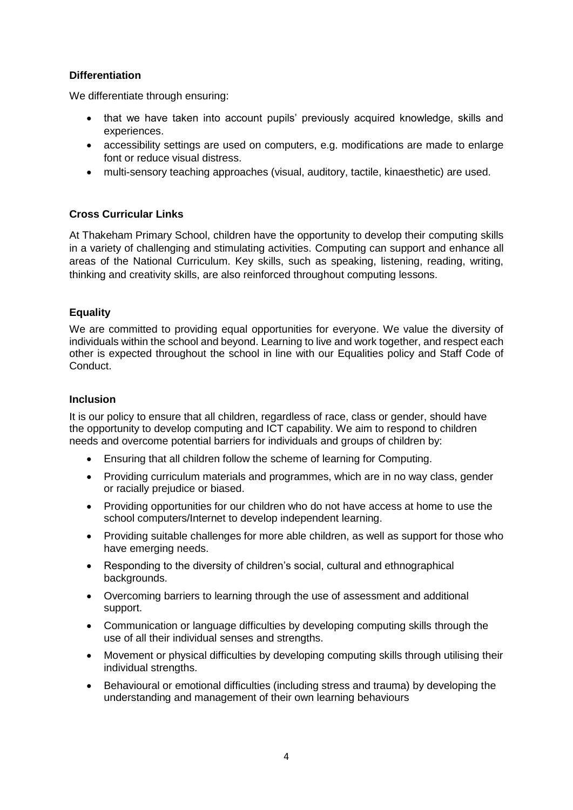# **Differentiation**

We differentiate through ensuring:

- that we have taken into account pupils' previously acquired knowledge, skills and experiences.
- accessibility settings are used on computers, e.g. modifications are made to enlarge font or reduce visual distress.
- multi-sensory teaching approaches (visual, auditory, tactile, kinaesthetic) are used.

# **Cross Curricular Links**

At Thakeham Primary School, children have the opportunity to develop their computing skills in a variety of challenging and stimulating activities. Computing can support and enhance all areas of the National Curriculum. Key skills, such as speaking, listening, reading, writing, thinking and creativity skills, are also reinforced throughout computing lessons.

# **Equality**

We are committed to providing equal opportunities for everyone. We value the diversity of individuals within the school and beyond. Learning to live and work together, and respect each other is expected throughout the school in line with our Equalities policy and Staff Code of Conduct.

## **Inclusion**

It is our policy to ensure that all children, regardless of race, class or gender, should have the opportunity to develop computing and ICT capability. We aim to respond to children needs and overcome potential barriers for individuals and groups of children by:

- Ensuring that all children follow the scheme of learning for Computing.
- Providing curriculum materials and programmes, which are in no way class, gender or racially prejudice or biased.
- Providing opportunities for our children who do not have access at home to use the school computers/Internet to develop independent learning.
- Providing suitable challenges for more able children, as well as support for those who have emerging needs.
- Responding to the diversity of children's social, cultural and ethnographical backgrounds.
- Overcoming barriers to learning through the use of assessment and additional support.
- Communication or language difficulties by developing computing skills through the use of all their individual senses and strengths.
- Movement or physical difficulties by developing computing skills through utilising their individual strengths.
- Behavioural or emotional difficulties (including stress and trauma) by developing the understanding and management of their own learning behaviours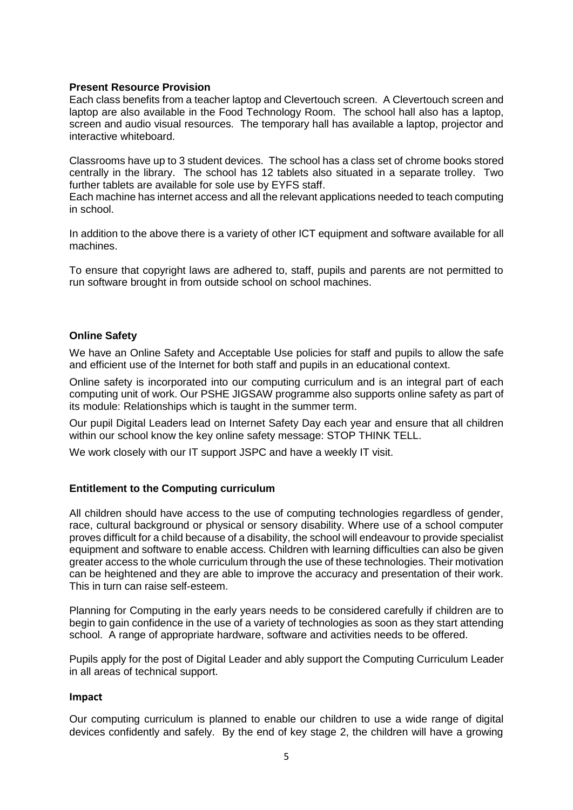#### **Present Resource Provision**

Each class benefits from a teacher laptop and Clevertouch screen. A Clevertouch screen and laptop are also available in the Food Technology Room. The school hall also has a laptop, screen and audio visual resources. The temporary hall has available a laptop, projector and interactive whiteboard.

Classrooms have up to 3 student devices. The school has a class set of chrome books stored centrally in the library. The school has 12 tablets also situated in a separate trolley. Two further tablets are available for sole use by EYFS staff.

Each machine has internet access and all the relevant applications needed to teach computing in school.

In addition to the above there is a variety of other ICT equipment and software available for all machines.

To ensure that copyright laws are adhered to, staff, pupils and parents are not permitted to run software brought in from outside school on school machines.

#### **Online Safety**

We have an Online Safety and Acceptable Use policies for staff and pupils to allow the safe and efficient use of the Internet for both staff and pupils in an educational context.

Online safety is incorporated into our computing curriculum and is an integral part of each computing unit of work. Our PSHE JIGSAW programme also supports online safety as part of its module: Relationships which is taught in the summer term.

Our pupil Digital Leaders lead on Internet Safety Day each year and ensure that all children within our school know the key online safety message: STOP THINK TELL.

We work closely with our IT support JSPC and have a weekly IT visit.

#### **Entitlement to the Computing curriculum**

All children should have access to the use of computing technologies regardless of gender, race, cultural background or physical or sensory disability. Where use of a school computer proves difficult for a child because of a disability, the school will endeavour to provide specialist equipment and software to enable access. Children with learning difficulties can also be given greater access to the whole curriculum through the use of these technologies. Their motivation can be heightened and they are able to improve the accuracy and presentation of their work. This in turn can raise self-esteem.

Planning for Computing in the early years needs to be considered carefully if children are to begin to gain confidence in the use of a variety of technologies as soon as they start attending school. A range of appropriate hardware, software and activities needs to be offered.

Pupils apply for the post of Digital Leader and ably support the Computing Curriculum Leader in all areas of technical support.

#### **Impact**

Our computing curriculum is planned to enable our children to use a wide range of digital devices confidently and safely. By the end of key stage 2, the children will have a growing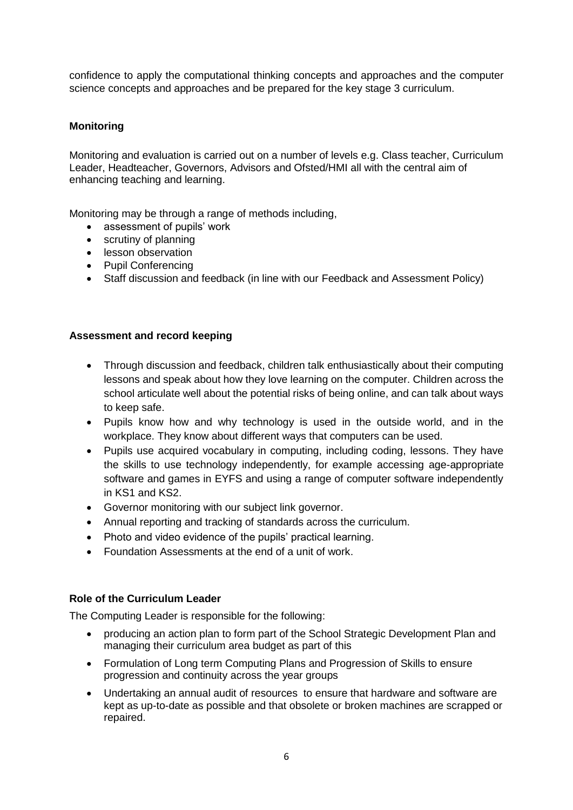confidence to apply the computational thinking concepts and approaches and the computer science concepts and approaches and be prepared for the key stage 3 curriculum.

# **Monitoring**

Monitoring and evaluation is carried out on a number of levels e.g. Class teacher, Curriculum Leader, Headteacher, Governors, Advisors and Ofsted/HMI all with the central aim of enhancing teaching and learning.

Monitoring may be through a range of methods including,

- assessment of pupils' work
- scrutiny of planning
- **•** lesson observation
- Pupil Conferencing
- Staff discussion and feedback (in line with our Feedback and Assessment Policy)

## **Assessment and record keeping**

- Through discussion and feedback, children talk enthusiastically about their computing lessons and speak about how they love learning on the computer. Children across the school articulate well about the potential risks of being online, and can talk about ways to keep safe.
- Pupils know how and why technology is used in the outside world, and in the workplace. They know about different ways that computers can be used.
- Pupils use acquired vocabulary in computing, including coding, lessons. They have the skills to use technology independently, for example accessing age-appropriate software and games in EYFS and using a range of computer software independently in KS1 and KS2.
- Governor monitoring with our subject link governor.
- Annual reporting and tracking of standards across the curriculum.
- Photo and video evidence of the pupils' practical learning.
- Foundation Assessments at the end of a unit of work.

## **Role of the Curriculum Leader**

The Computing Leader is responsible for the following:

- producing an action plan to form part of the School Strategic Development Plan and managing their curriculum area budget as part of this
- Formulation of Long term Computing Plans and Progression of Skills to ensure progression and continuity across the year groups
- Undertaking an annual audit of resources to ensure that hardware and software are kept as up-to-date as possible and that obsolete or broken machines are scrapped or repaired.